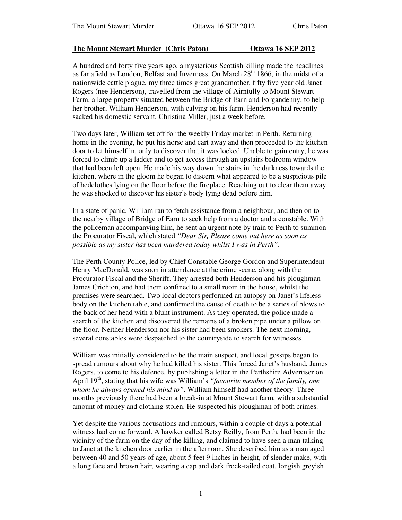# **The Mount Stewart Murder (Chris Paton) Ottawa 16 SEP 2012**

A hundred and forty five years ago, a mysterious Scottish killing made the headlines as far afield as London, Belfast and Inverness. On March 28<sup>th</sup> 1866, in the midst of a nationwide cattle plague, my three times great grandmother, fifty five year old Janet Rogers (nee Henderson), travelled from the village of Airntully to Mount Stewart Farm, a large property situated between the Bridge of Earn and Forgandenny, to help her brother, William Henderson, with calving on his farm. Henderson had recently sacked his domestic servant, Christina Miller, just a week before.

Two days later, William set off for the weekly Friday market in Perth. Returning home in the evening, he put his horse and cart away and then proceeded to the kitchen door to let himself in, only to discover that it was locked. Unable to gain entry, he was forced to climb up a ladder and to get access through an upstairs bedroom window that had been left open. He made his way down the stairs in the darkness towards the kitchen, where in the gloom he began to discern what appeared to be a suspicious pile of bedclothes lying on the floor before the fireplace. Reaching out to clear them away, he was shocked to discover his sister's body lying dead before him.

In a state of panic, William ran to fetch assistance from a neighbour, and then on to the nearby village of Bridge of Earn to seek help from a doctor and a constable. With the policeman accompanying him, he sent an urgent note by train to Perth to summon the Procurator Fiscal, which stated *"Dear Sir, Please come out here as soon as possible as my sister has been murdered today whilst I was in Perth"*.

The Perth County Police, led by Chief Constable George Gordon and Superintendent Henry MacDonald, was soon in attendance at the crime scene, along with the Procurator Fiscal and the Sheriff. They arrested both Henderson and his ploughman James Crichton, and had them confined to a small room in the house, whilst the premises were searched. Two local doctors performed an autopsy on Janet's lifeless body on the kitchen table, and confirmed the cause of death to be a series of blows to the back of her head with a blunt instrument. As they operated, the police made a search of the kitchen and discovered the remains of a broken pipe under a pillow on the floor. Neither Henderson nor his sister had been smokers. The next morning, several constables were despatched to the countryside to search for witnesses.

William was initially considered to be the main suspect, and local gossips began to spread rumours about why he had killed his sister. This forced Janet's husband, James Rogers, to come to his defence, by publishing a letter in the Perthshire Advertiser on April 19 th , stating that his wife was William's *"favourite member of the family, one whom he always opened his mind to"*. William himself had another theory. Three months previously there had been a break-in at Mount Stewart farm, with a substantial amount of money and clothing stolen. He suspected his ploughman of both crimes.

Yet despite the various accusations and rumours, within a couple of days a potential witness had come forward. A hawker called Betsy Reilly, from Perth, had been in the vicinity of the farm on the day of the killing, and claimed to have seen a man talking to Janet at the kitchen door earlier in the afternoon. She described him as a man aged between 40 and 50 years of age, about 5 feet 9 inches in height, of slender make, with a long face and brown hair, wearing a cap and dark frock-tailed coat, longish greyish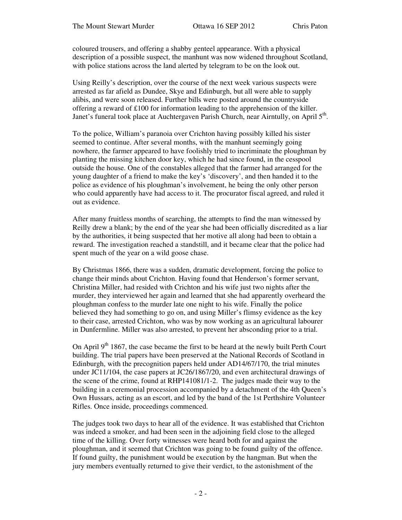coloured trousers, and offering a shabby genteel appearance. With a physical description of a possible suspect, the manhunt was now widened throughout Scotland, with police stations across the land alerted by telegram to be on the look out.

Using Reilly's description, over the course of the next week various suspects were arrested as far afield as Dundee, Skye and Edinburgh, but all were able to supply alibis, and were soon released. Further bills were posted around the countryside offering a reward of £100 for information leading to the apprehension of the killer. Janet's funeral took place at Auchtergaven Parish Church, near Airntully, on April 5<sup>th</sup>.

To the police, William's paranoia over Crichton having possibly killed his sister seemed to continue. After several months, with the manhunt seemingly going nowhere, the farmer appeared to have foolishly tried to incriminate the ploughman by planting the missing kitchen door key, which he had since found, in the cesspool outside the house. One of the constables alleged that the farmer had arranged for the young daughter of a friend to make the key's 'discovery', and then handed it to the police as evidence of his ploughman's involvement, he being the only other person who could apparently have had access to it. The procurator fiscal agreed, and ruled it out as evidence.

After many fruitless months of searching, the attempts to find the man witnessed by Reilly drew a blank; by the end of the year she had been officially discredited as a liar by the authorities, it being suspected that her motive all along had been to obtain a reward. The investigation reached a standstill, and it became clear that the police had spent much of the year on a wild goose chase.

By Christmas 1866, there was a sudden, dramatic development, forcing the police to change their minds about Crichton. Having found that Henderson's former servant, Christina Miller, had resided with Crichton and his wife just two nights after the murder, they interviewed her again and learned that she had apparently overheard the ploughman confess to the murder late one night to his wife. Finally the police believed they had something to go on, and using Miller's flimsy evidence as the key to their case, arrested Crichton, who was by now working as an agricultural labourer in Dunfermline. Miller was also arrested, to prevent her absconding prior to a trial.

On April  $9<sup>th</sup>$  1867, the case became the first to be heard at the newly built Perth Court building. The trial papers have been preserved at the National Records of Scotland in Edinburgh, with the precognition papers held under AD14/67/170, the trial minutes under JC11/104, the case papers at JC26/1867/20, and even architectural drawings of the scene of the crime, found at RHP141081/1-2. The judges made their way to the building in a ceremonial procession accompanied by a detachment of the 4th Queen's Own Hussars, acting as an escort, and led by the band of the 1st Perthshire Volunteer Rifles. Once inside, proceedings commenced.

The judges took two days to hear all of the evidence. It was established that Crichton was indeed a smoker, and had been seen in the adjoining field close to the alleged time of the killing. Over forty witnesses were heard both for and against the ploughman, and it seemed that Crichton was going to be found guilty of the offence. If found guilty, the punishment would be execution by the hangman. But when the jury members eventually returned to give their verdict, to the astonishment of the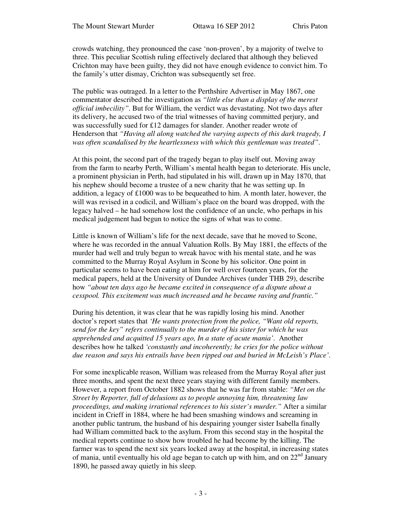crowds watching, they pronounced the case 'non-proven', by a majority of twelve to three. This peculiar Scottish ruling effectively declared that although they believed Crichton may have been guilty, they did not have enough evidence to convict him. To the family's utter dismay, Crichton was subsequently set free.

The public was outraged. In a letter to the Perthshire Advertiser in May 1867, one commentator described the investigation as *"little else than a display of the merest official imbecility"*. But for William, the verdict was devastating. Not two days after its delivery, he accused two of the trial witnesses of having committed perjury, and was successfully sued for £12 damages for slander. Another reader wrote of Henderson that *"Having all along watched the varying aspects of this dark tragedy, I was often scandalised by the heartlessness with which this gentleman was treated"*.

At this point, the second part of the tragedy began to play itself out. Moving away from the farm to nearby Perth, William's mental health began to deteriorate. His uncle, a prominent physician in Perth, had stipulated in his will, drawn up in May 1870, that his nephew should become a trustee of a new charity that he was setting up. In addition, a legacy of  $\pounds1000$  was to be bequeathed to him. A month later, however, the will was revised in a codicil, and William's place on the board was dropped, with the legacy halved – he had somehow lost the confidence of an uncle, who perhaps in his medical judgement had begun to notice the signs of what was to come.

Little is known of William's life for the next decade, save that he moved to Scone, where he was recorded in the annual Valuation Rolls. By May 1881, the effects of the murder had well and truly begun to wreak havoc with his mental state, and he was committed to the Murray Royal Asylum in Scone by his solicitor. One point in particular seems to have been eating at him for well over fourteen years, for the medical papers, held at the University of Dundee Archives (under THB 29), describe how *"about ten days ago he became excited in consequence of a dispute about a cesspool. This excitement was much increased and he became raving and frantic."*

During his detention, it was clear that he was rapidly losing his mind. Another doctor's report states that *'He wants protection from the police, "Want old reports, send for the key" refers continually to the murder of his sister for which he was apprehended and acquitted 15 years ago, In a state of acute mania'*. Another describes how he talked *'constantly and incoherently; he cries for the police without due reason and says his entrails have been ripped out and buried in McLeish's Place'*.

For some inexplicable reason, William was released from the Murray Royal after just three months, and spent the next three years staying with different family members. However, a report from October 1882 shows that he was far from stable: *"Met on the Street by Reporter, full of delusions as to people annoying him, threatening law proceedings, and making irrational references to his sister's murder."* After a similar incident in Crieff in 1884, where he had been smashing windows and screaming in another public tantrum, the husband of his despairing younger sister Isabella finally had William committed back to the asylum. From this second stay in the hospital the medical reports continue to show how troubled he had become by the killing. The farmer was to spend the next six years locked away at the hospital, in increasing states of mania, until eventually his old age began to catch up with him, and on  $22<sup>nd</sup>$  January 1890, he passed away quietly in his sleep.